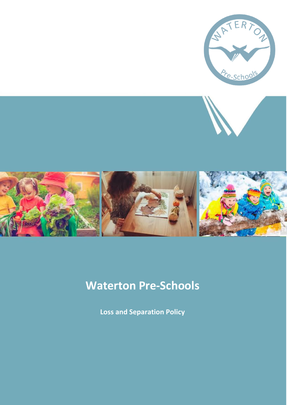

# **Waterton Pre-Schools**

**Loss and Separation Policy**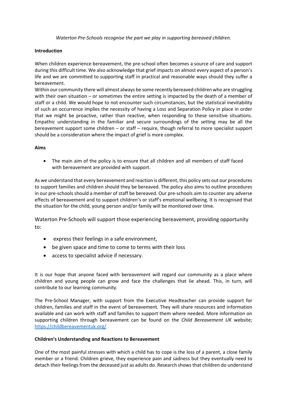*Waterton Pre-Schools recognise the part we play in supporting bereaved children.*

#### **Introduction**

When children experience bereavement, the pre-school often becomes a source of care and support during this difficult time. We also acknowledge that grief impacts on almost every aspect of a person's life and we are committed to supporting staff in practical and reasonable ways should they suffer a bereavement.

Within our community there will almost always be some recently bereaved children who are struggling with their own situation – or sometimes the entire setting is impacted by the death of a member of staff or a child. We would hope to not encounter such circumstances, but the statistical inevitability of such an occurrence implies the necessity of having a Loss and Separation Policy in place in order that we might be proactive, rather than reactive, when responding to these sensitive situations. Empathic understanding in the familiar and secure surroundings of the setting may be all the bereavement support some children – or staff – require, though referral to more specialist support should be a consideration where the impact of grief is more complex.

#### **Aims**

• The main aim of the policy is to ensure that all children and all members of staff faced with bereavement are provided with support.

As we understand that every bereavement and reaction is different, this policy sets out our procedures to support families and children should they be bereaved. The policy also aims to outline procedures in our pre-schools should a member of staff be bereaved. Our pre-schools aim to counter any adverse effects of bereavement and to support children's or staff's emotional wellbeing. It is recognised that the situation for the child, young person and/or family will be monitored over time.

Waterton Pre-Schools will support those experiencing bereavement, providing opportunity to:

- express their feelings in a safe environment,
- be given space and time to come to terms with their loss
- access to specialist advice if necessary.

It is our hope that anyone faced with bereavement will regard our community as a place where children and young people can grow and face the challenges that lie ahead. This, in turn, will contribute to our learning community.

The Pre-School Manager, with support from the Executive Headteacher can provide support for children, families and staff in the event of bereavement. They will share resources and information available and can work with staff and families to support them where needed. More information on supporting children through bereavement can be found on the *Child Bereavement UK* website; <https://childbereavementuk.org/>

#### **Children's Understanding and Reactions to Bereavement**

One of the most painful stresses with which a child has to cope is the loss of a parent, a close family member or a friend. Children grieve, they experience pain and sadness but they eventually need to detach their feelings from the deceased just as adults do. Research shows that children do understand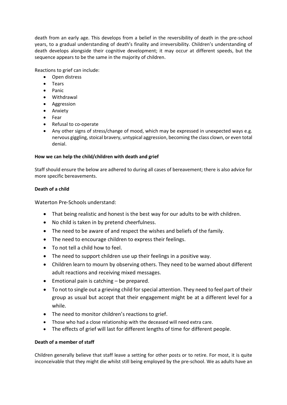death from an early age. This develops from a belief in the reversibility of death in the pre-school years, to a gradual understanding of death's finality and irreversibility. Children's understanding of death develops alongside their cognitive development; it may occur at different speeds, but the sequence appears to be the same in the majority of children.

Reactions to grief can include:

- Open distress
- Tears
- Panic
- Withdrawal
- Aggression
- Anxiety
- Fear
- Refusal to co-operate
- Any other signs of stress/change of mood, which may be expressed in unexpected ways e.g. nervous giggling, stoical bravery, untypical aggression, becoming the class clown, or even total denial.

### **How we can help the child/children with death and grief**

Staff should ensure the below are adhered to during all cases of bereavement; there is also advice for more specific bereavements.

#### **Death of a child**

Waterton Pre-Schools understand:

- That being realistic and honest is the best way for our adults to be with children.
- No child is taken in by pretend cheerfulness.
- The need to be aware of and respect the wishes and beliefs of the family.
- The need to encourage children to express their feelings.
- To not tell a child how to feel.
- The need to support children use up their feelings in a positive way.
- Children learn to mourn by observing others. They need to be warned about different adult reactions and receiving mixed messages.
- Emotional pain is catching be prepared.
- To not to single out a grieving child for special attention. They need to feel part of their group as usual but accept that their engagement might be at a different level for a while.
- The need to monitor children's reactions to grief.
- Those who had a close relationship with the deceased will need extra care.
- The effects of grief will last for different lengths of time for different people.

### **Death of a member of staff**

Children generally believe that staff leave a setting for other posts or to retire. For most, it is quite inconceivable that they might die whilst still being employed by the pre-school. We as adults have an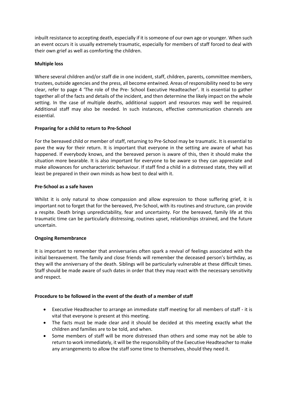inbuilt resistance to accepting death, especially if it is someone of our own age or younger. When such an event occurs it is usually extremely traumatic, especially for members of staff forced to deal with their own grief as well as comforting the children.

## **Multiple loss**

Where several children and/or staff die in one incident, staff, children, parents, committee members, trustees, outside agencies and the press, all become entwined. Areas of responsibility need to be very clear, refer to page 4 'The role of the Pre- School Executive Headteacher'. It is essential to gather together all of the facts and details of the incident, and then determine the likely impact on the whole setting. In the case of multiple deaths, additional support and resources may well be required. Additional staff may also be needed. In such instances, effective communication channels are essential.

### **Preparing for a child to return to Pre-School**

For the bereaved child or member of staff, returning to Pre-School may be traumatic. It is essential to pave the way for their return. It is important that everyone in the setting are aware of what has happened. If everybody knows, and the bereaved person is aware of this, then it should make the situation more bearable. It is also important for everyone to be aware so they can appreciate and make allowances for uncharacteristic behaviour. If staff find a child in a distressed state, they will at least be prepared in their own minds as how best to deal with it.

### **Pre-School as a safe haven**

Whilst it is only natural to show compassion and allow expression to those suffering grief, it is important not to forget that for the bereaved, Pre-School, with its routines and structure, can provide a respite. Death brings unpredictability, fear and uncertainty. For the bereaved, family life at this traumatic time can be particularly distressing, routines upset, relationships strained, and the future uncertain.

### **Ongoing Remembrance**

It is important to remember that anniversaries often spark a revival of feelings associated with the initial bereavement. The family and close friends will remember the deceased person's birthday, as they will the anniversary of the death. Siblings will be particularly vulnerable at these difficult times. Staff should be made aware of such dates in order that they may react with the necessary sensitivity and respect.

### **Procedure to be followed in the event of the death of a member of staff**

- Executive Headteacher to arrange an immediate staff meeting for all members of staff it is vital that everyone is present at this meeting.
- The facts must be made clear and it should be decided at this meeting exactly what the children and families are to be told, and when.
- Some members of staff will be more distressed than others and some may not be able to return to work immediately, it will be the responsibility of the Executive Headteacher to make any arrangements to allow the staff some time to themselves, should they need it.